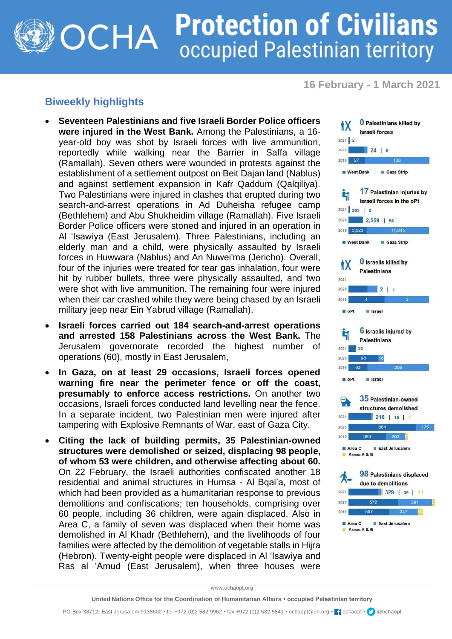## **Protection of Civilians OCHA** occupied Palestinian territory

**16 February - 1 March 2021**

## **Biweekly highlights**

- **Seventeen Palestinians and five Israeli Border Police officers were injured in the West Bank.** Among the Palestinians, a 16 year-old boy was shot by Israeli forces with live ammunition, reportedly while walking near the Barrier in Saffa village (Ramallah). Seven others were wounded in protests against the establishment of a settlement outpost on Beit Dajan land (Nablus) and against settlement expansion in Kafr Qaddum (Qalqiliya). Two Palestinians were injured in clashes that erupted during two search-and-arrest operations in Ad Duheisha refugee camp (Bethlehem) and Abu Shukheidim village (Ramallah). Five Israeli Border Police officers were stoned and injured in an operation in Al 'Isawiya (East Jerusalem). Three Palestinians, including an elderly man and a child, were physically assaulted by Israeli forces in Huwwara (Nablus) and An Nuwei'ma (Jericho). Overall, four of the injuries were treated for tear gas inhalation, four were hit by rubber bullets, three were physically assaulted, and two were shot with live ammunition. The remaining four were injured when their car crashed while they were being chased by an Israeli military jeep near Ein Yabrud village (Ramallah).
- **Israeli forces carried out 184 search-and-arrest operations and arrested 158 Palestinians across the West Bank.** The Jerusalem governorate recorded the highest number of operations (60), mostly in East Jerusalem,
- **In Gaza, on at least 29 occasions, Israeli forces opened warning fire near the perimeter fence or off the coast, presumably to enforce access restrictions.** On another two occasions, Israeli forces conducted land levelling near the fence. In a separate incident, two Palestinian men were injured after tampering with Explosive Remnants of War, east of Gaza City.
- **Citing the lack of building permits, 35 Palestinian-owned structures were demolished or seized, displacing 98 people, of whom 53 were children, and otherwise affecting about 60.** On 22 February, the Israeli authorities confiscated another 18 residential and animal structures in Humsa - Al Bqai'a, most of which had been provided as a humanitarian response to previous demolitions and confiscations; ten households, comprising over 60 people, including 36 children, were again displaced. Also in Area C, a family of seven was displaced when their home was demolished in Al Khadr (Bethlehem), and the livelihoods of four families were affected by the demolition of vegetable stalls in Hijra (Hebron). Twenty-eight people were displaced in Al 'Isawiya and Ras al 'Amud (East Jerusalem), when three houses were



www.ochaopt.org

PO Box 38712, East Jerusalem 9138602 • tel +972 (0)2 582 9962 • fax +972 (0)2 582 5841 • ochaopt@un.org • [1] cchaopt • [2] @ochaopt